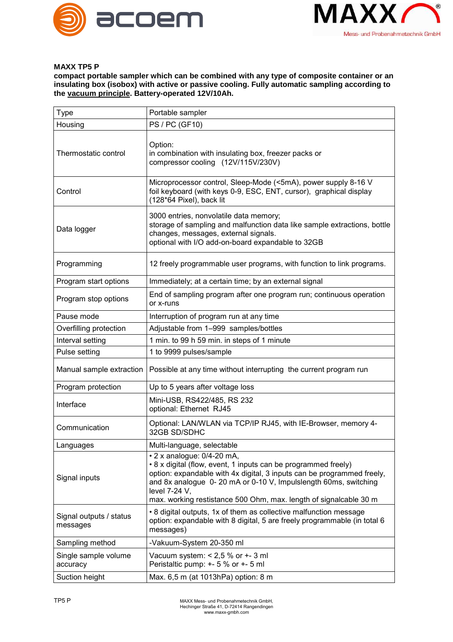



## **MAXX TP5 P**

**compact portable sampler which can be combined with any type of composite container or an insulating box (isobox) with active or passive cooling. Fully automatic sampling according to the vacuum principle. Battery-operated 12V/10Ah.**

| Type                                | Portable sampler                                                                                                                                                                                                                                                                                                                      |
|-------------------------------------|---------------------------------------------------------------------------------------------------------------------------------------------------------------------------------------------------------------------------------------------------------------------------------------------------------------------------------------|
| Housing                             | <b>PS / PC (GF10)</b>                                                                                                                                                                                                                                                                                                                 |
| Thermostatic control                | Option:<br>in combination with insulating box, freezer packs or<br>compressor cooling (12V/115V/230V)                                                                                                                                                                                                                                 |
| Control                             | Microprocessor control, Sleep-Mode (<5mA), power supply 8-16 V<br>foil keyboard (with keys 0-9, ESC, ENT, cursor), graphical display<br>(128*64 Pixel), back lit                                                                                                                                                                      |
| Data logger                         | 3000 entries, nonvolatile data memory;<br>storage of sampling and malfunction data like sample extractions, bottle<br>changes, messages, external signals.<br>optional with I/O add-on-board expandable to 32GB                                                                                                                       |
| Programming                         | 12 freely programmable user programs, with function to link programs.                                                                                                                                                                                                                                                                 |
| Program start options               | Immediately; at a certain time; by an external signal                                                                                                                                                                                                                                                                                 |
| Program stop options                | End of sampling program after one program run; continuous operation<br>or x-runs                                                                                                                                                                                                                                                      |
| Pause mode                          | Interruption of program run at any time                                                                                                                                                                                                                                                                                               |
| Overfilling protection              | Adjustable from 1-999 samples/bottles                                                                                                                                                                                                                                                                                                 |
| Interval setting                    | 1 min. to 99 h 59 min. in steps of 1 minute                                                                                                                                                                                                                                                                                           |
| Pulse setting                       | 1 to 9999 pulses/sample                                                                                                                                                                                                                                                                                                               |
| Manual sample extraction            | Possible at any time without interrupting the current program run                                                                                                                                                                                                                                                                     |
| Program protection                  | Up to 5 years after voltage loss                                                                                                                                                                                                                                                                                                      |
| Interface                           | Mini-USB, RS422/485, RS 232<br>optional: Ethernet RJ45                                                                                                                                                                                                                                                                                |
| Communication                       | Optional: LAN/WLAN via TCP/IP RJ45, with IE-Browser, memory 4-<br>32GB SD/SDHC                                                                                                                                                                                                                                                        |
| Languages                           | Multi-language, selectable                                                                                                                                                                                                                                                                                                            |
| Signal inputs                       | $\cdot$ 2 x analogue: 0/4-20 mA,<br>• 8 x digital (flow, event, 1 inputs can be programmed freely)<br>option: expandable with 4x digital, 3 inputs can be programmed freely,<br>and 8x analogue 0-20 mA or 0-10 V, Impulslength 60ms, switching<br>level 7-24 V,<br>max. working restistance 500 Ohm, max. length of signalcable 30 m |
| Signal outputs / status<br>messages | • 8 digital outputs, 1x of them as collective malfunction message<br>option: expandable with 8 digital, 5 are freely programmable (in total 6<br>messages)                                                                                                                                                                            |
| Sampling method                     | -Vakuum-System 20-350 ml                                                                                                                                                                                                                                                                                                              |
| Single sample volume<br>accuracy    | Vacuum system: $< 2.5$ % or $+$ - 3 ml<br>Peristaltic pump: +- 5 % or +- 5 ml                                                                                                                                                                                                                                                         |
| Suction height                      | Max. 6,5 m (at 1013hPa) option: 8 m                                                                                                                                                                                                                                                                                                   |